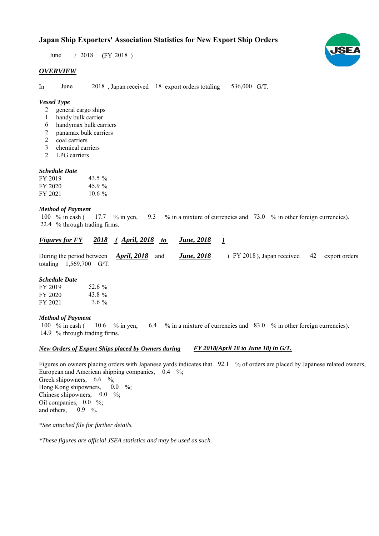# **Japan Ship Exporters' Association Statistics for New Export Ship Orders**

 $/ 2018$  (FY 2018) June

### *OVERVIEW*

In June 2018, Japan received 18 export orders totaling 536,000 G/T.

## *Vessel Type*

- general cargo ships  $\mathcal{L}$
- handy bulk carrier 1
- handymax bulk carriers 6
- panamax bulk carriers 2
- coal carriers 2
- chemical carriers 3
- LPG carriers 2

#### *Schedule Date*

| FY 2019 | 43.5 $\%$ |
|---------|-----------|
| FY 2020 | 45.9 $\%$ |
| FY 2021 | $10.6 \%$ |

#### *Method of Payment*

% in cash ( $\frac{17.7}{8}$  % in yen,  $\frac{9.3}{8}$  % in a mixture of currencies and 73.0 % in other foreign currencies). % through trading firms. 22.4 100 % in cash ( 17.7 % in yen,

| <b>Figures for FY</b> | 2018 | April, 2018 |  | <b>June</b> , 2018 |  |
|-----------------------|------|-------------|--|--------------------|--|
|-----------------------|------|-------------|--|--------------------|--|

During the period between **April, 2018** and **June, 2018** (FY 2018), Japan received 42 export orders totaling  $1,569,700$  G/T. During the period between *April, 2018* and *June, 2018*

#### *Schedule Date*

| FY 2019 | 52.6 %  |
|---------|---------|
| FY 2020 | 43.8%   |
| FY 2021 | $3.6\%$ |

#### *Method of Payment*

% in cash ( $10.6$  % in yen,  $6.4$  % in a mixture of currencies and 83.0 % in other foreign currencies). 14.9 % through trading firms. 10.6  $%$  in yen, 100  $%$  in cash (

#### *New Orders of Export Ships placed by Owners during FY 2018(April 18 to June 18) in G/T.*

Figures on owners placing orders with Japanese yards indicates that 92.1 % of orders are placed by Japanese related owners, European and American shipping companies,  $0.4\degree\%$ ; Greek shipowners,  $6.6 \degree$ %; Hong Kong shipowners, Chinese shipowners,  $0.0\%$ ; Oil companies,  $0.0\%$ ; and others,  $0.9\%$ .  $0.0\quad\%$ 

*\*See attached file for further details.*

*\*These figures are official JSEA statistics and may be used as such.*

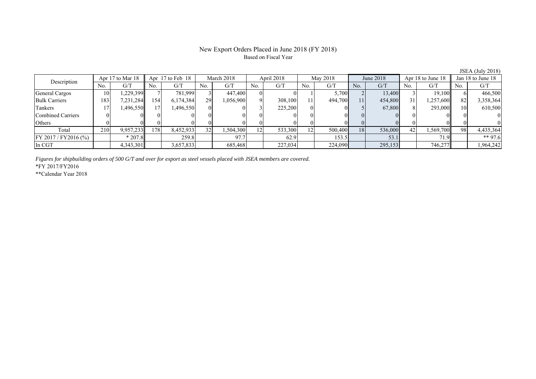#### New Export Orders Placed in June 2018 (FY 2018) Based on Fiscal Year

No. G/T No. G/T No. G/T No. G/T No. G/T No. G/T No. G/T No. G/T General Cargos ( 10 1,229,399 7 781,999 3 447,400 0 0 1 5,700 2 13,400 3 19,100 6 466,500 Bulk Carriers 183 7,231,284 154 6,174,384 29 1,056,900 9 308,100 11 494,700 11 454,800 31 1,257,600 82 3,358,364 Tankers 17 1,496,550 17 1,496,550 0 0 3 225,200 0 0 5 67,800 8 293,000 10 610,500 Combined Carriers 0 0 0 0 0 0 0 0 0 0 0 0 0 0 0 0 Others | 0 | 0 || 0 || 0 || 0 || 0 || 0 || 0 || 0 || 0 || 0 | Total 210 9,957,233 178 8,452,933 32 1,504,300 12 533,300 12 500,400 18 536,000 42 1,569,700 98 4,435,364 FY 2017/FY2016 (%) \* 207.8 259.8 97.7 62.9 153.5 53.1 71.9 \*\* 97.6 In CGT 1,3,301 3,657,833 685,468 227,034 224,090 295,153 746,277 1,964,242 Description Apr 17 to Mar 18 Apr 17 to Feb 18 March 2018 April 2018<br>No. | G/T No. | G/T No. | G/T No. | G/T May 2018 June 2018 Apr 18 to June 18 Jan 18 to June 18

*Figures for shipbuilding orders of 500 G/T and over for export as steel vessels placed with JSEA members are covered.*

\*FY 2017/FY2016

\*\*Calendar Year 2018

JSEA (July 2018)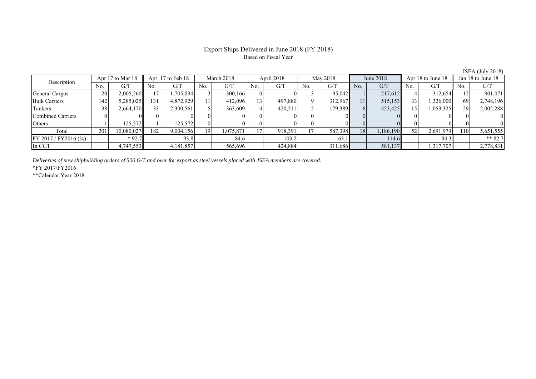# Export Ships Delivered in June 2018 (FY 2018) Based on Fiscal Year

| $\frac{1}{2}$ $\frac{1}{2}$ $\frac{1}{2}$ $\frac{1}{2}$ $\frac{1}{2}$ $\frac{1}{2}$ $\frac{1}{2}$ $\frac{1}{2}$ $\frac{1}{2}$ $\frac{1}{2}$ $\frac{1}{2}$ $\frac{1}{2}$ $\frac{1}{2}$ $\frac{1}{2}$ $\frac{1}{2}$ $\frac{1}{2}$ $\frac{1}{2}$ $\frac{1}{2}$ $\frac{1}{2}$ $\frac{1}{2}$ $\frac{1}{2}$ $\frac{1}{2}$ |     |                  |     |                  |     |            |                 |            |     |          |     |           |     |                   |     |                   |
|---------------------------------------------------------------------------------------------------------------------------------------------------------------------------------------------------------------------------------------------------------------------------------------------------------------------|-----|------------------|-----|------------------|-----|------------|-----------------|------------|-----|----------|-----|-----------|-----|-------------------|-----|-------------------|
| Description                                                                                                                                                                                                                                                                                                         |     | Apr 17 to Mar 18 |     | Apr 17 to Feb 18 |     | March 2018 |                 | April 2018 |     | May 2018 |     | June 2018 |     | Apr 18 to June 18 |     | Jan 18 to June 18 |
|                                                                                                                                                                                                                                                                                                                     | No. | G/T              | No. | G/T              | No. | G/T        | No.             | G/T        | No. | G/T      | No. | G/T       | No. | G/T               | No. | G/T               |
| General Cargos                                                                                                                                                                                                                                                                                                      | 20  | 2,005,260        |     | .705.094         |     | 300,166    |                 |            |     | 95,042   |     | 217,612   |     | 312,654           |     | 901,071           |
| <b>Bulk Carriers</b>                                                                                                                                                                                                                                                                                                | 142 | 5,285,025        | 131 | 4,872,929        |     | 412,096    | 13 <sub>1</sub> | 497.880    |     | 312.967  | 11  | 515,153   | 33  | 1,326,000         | 69  | 2,748,196         |
| Tankers                                                                                                                                                                                                                                                                                                             | 38  | 2,664,170        | 33  | 2,300,561        |     | 363,609    |                 | 420,511    |     | 179,389  |     | 453,425   | 15  | 1,053,325         | 29  | 2,002,288         |
| Combined Carriers                                                                                                                                                                                                                                                                                                   |     |                  |     |                  |     |            |                 |            |     |          |     |           |     |                   |     |                   |
| <b>Others</b>                                                                                                                                                                                                                                                                                                       |     | 125,572          |     | 125,572          |     |            |                 |            |     |          |     |           |     |                   |     |                   |
| Total                                                                                                                                                                                                                                                                                                               | 201 | 10,080,027       | 182 | 9,004,156        | 19  | 1,075,871  | 17              | 918,391    |     | 587,398  | 18  | 1,186,190 | 52  | 2,691,979         | 110 | 5,651,555         |
| $FY 2017 / FY 2016$ (%)                                                                                                                                                                                                                                                                                             |     | $*92.7$          |     | 93.8             |     | 84.6       |                 | 103.2      |     | 63.1     |     | 114.6     |     | 94.3              |     | ** $82.7$         |
| In CGT                                                                                                                                                                                                                                                                                                              |     | 4,747,553        |     | 4,181,857        |     | 565,696    |                 | 424.884    |     | 311,686  |     | 581,137   |     | 1,317,707         |     | 2,778,831         |

*Deliveries of new shipbuilding orders of 500 G/T and over for export as steel vessels placed with JSEA members are covered.*

\*FY 2017/FY2016

\*\*Calendar Year 2018

JSEA (July 2018)